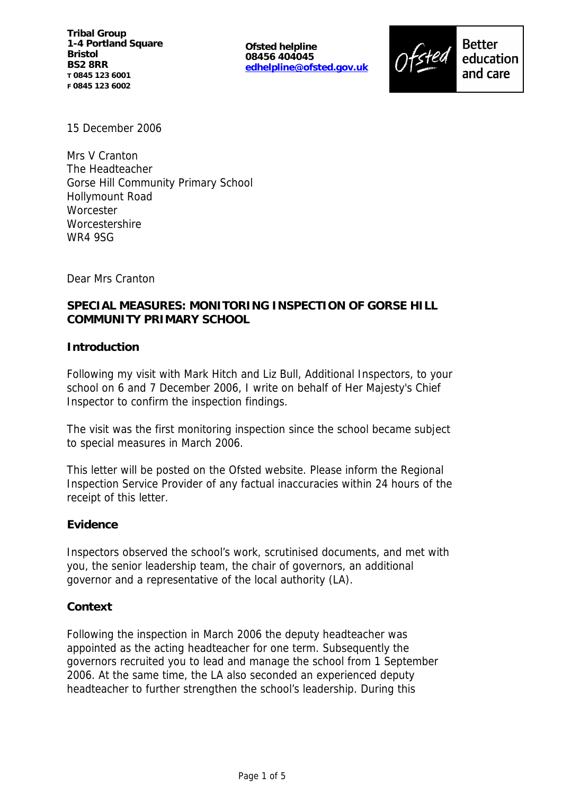**Ofsted helpline 08456 404045 edhelpline@ofsted.gov.uk**



15 December 2006

Mrs V Cranton The Headteacher Gorse Hill Community Primary School Hollymount Road **Worcester Worcestershire** WR4 9SG

Dear Mrs Cranton

# **SPECIAL MEASURES: MONITORING INSPECTION OF GORSE HILL COMMUNITY PRIMARY SCHOOL**

## **Introduction**

Following my visit with Mark Hitch and Liz Bull, Additional Inspectors, to your school on 6 and 7 December 2006, I write on behalf of Her Majesty's Chief Inspector to confirm the inspection findings.

The visit was the first monitoring inspection since the school became subject to special measures in March 2006.

This letter will be posted on the Ofsted website. Please inform the Regional Inspection Service Provider of any factual inaccuracies within 24 hours of the receipt of this letter.

#### **Evidence**

Inspectors observed the school's work, scrutinised documents, and met with you, the senior leadership team, the chair of governors, an additional governor and a representative of the local authority (LA).

#### **Context**

Following the inspection in March 2006 the deputy headteacher was appointed as the acting headteacher for one term. Subsequently the governors recruited you to lead and manage the school from 1 September 2006. At the same time, the LA also seconded an experienced deputy headteacher to further strengthen the school's leadership. During this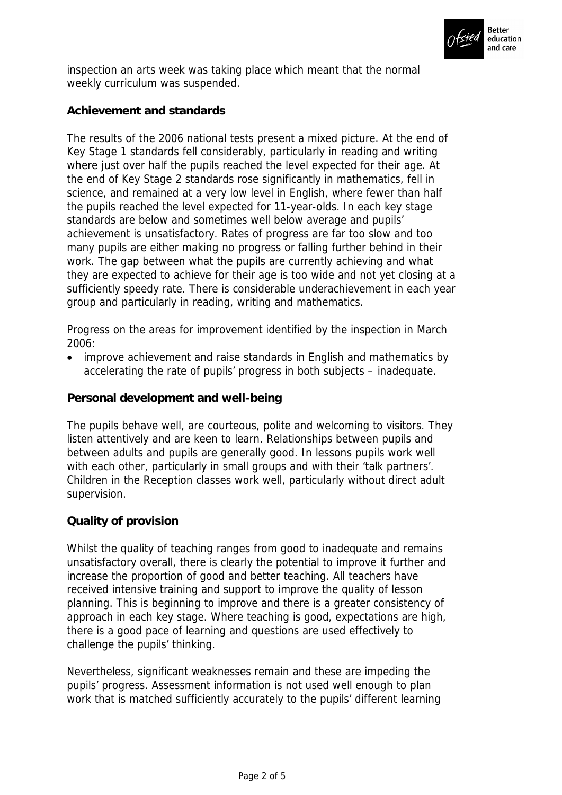

inspection an arts week was taking place which meant that the normal weekly curriculum was suspended.

# **Achievement and standards**

The results of the 2006 national tests present a mixed picture. At the end of Key Stage 1 standards fell considerably, particularly in reading and writing where just over half the pupils reached the level expected for their age. At the end of Key Stage 2 standards rose significantly in mathematics, fell in science, and remained at a very low level in English, where fewer than half the pupils reached the level expected for 11-year-olds. In each key stage standards are below and sometimes well below average and pupils' achievement is unsatisfactory. Rates of progress are far too slow and too many pupils are either making no progress or falling further behind in their work. The gap between what the pupils are currently achieving and what they are expected to achieve for their age is too wide and not yet closing at a sufficiently speedy rate. There is considerable underachievement in each year group and particularly in reading, writing and mathematics.

Progress on the areas for improvement identified by the inspection in March 2006:

 improve achievement and raise standards in English and mathematics by accelerating the rate of pupils' progress in both subjects – inadequate.

## **Personal development and well-being**

The pupils behave well, are courteous, polite and welcoming to visitors. They listen attentively and are keen to learn. Relationships between pupils and between adults and pupils are generally good. In lessons pupils work well with each other, particularly in small groups and with their 'talk partners'. Children in the Reception classes work well, particularly without direct adult supervision.

## **Quality of provision**

Whilst the quality of teaching ranges from good to inadequate and remains unsatisfactory overall, there is clearly the potential to improve it further and increase the proportion of good and better teaching. All teachers have received intensive training and support to improve the quality of lesson planning. This is beginning to improve and there is a greater consistency of approach in each key stage. Where teaching is good, expectations are high, there is a good pace of learning and questions are used effectively to challenge the pupils' thinking.

Nevertheless, significant weaknesses remain and these are impeding the pupils' progress. Assessment information is not used well enough to plan work that is matched sufficiently accurately to the pupils' different learning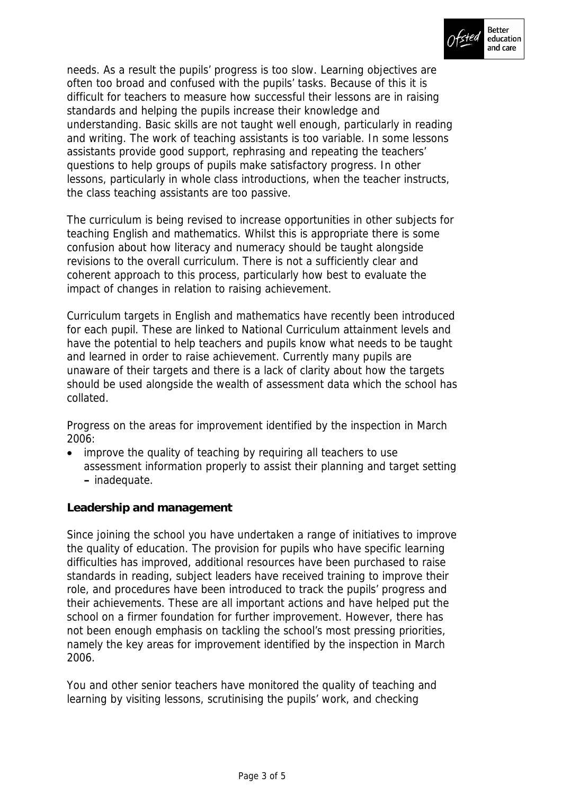

needs. As a result the pupils' progress is too slow. Learning objectives are often too broad and confused with the pupils' tasks. Because of this it is difficult for teachers to measure how successful their lessons are in raising standards and helping the pupils increase their knowledge and understanding. Basic skills are not taught well enough, particularly in reading and writing. The work of teaching assistants is too variable. In some lessons assistants provide good support, rephrasing and repeating the teachers' questions to help groups of pupils make satisfactory progress. In other lessons, particularly in whole class introductions, when the teacher instructs, the class teaching assistants are too passive.

The curriculum is being revised to increase opportunities in other subjects for teaching English and mathematics. Whilst this is appropriate there is some confusion about how literacy and numeracy should be taught alongside revisions to the overall curriculum. There is not a sufficiently clear and coherent approach to this process, particularly how best to evaluate the impact of changes in relation to raising achievement.

Curriculum targets in English and mathematics have recently been introduced for each pupil. These are linked to National Curriculum attainment levels and have the potential to help teachers and pupils know what needs to be taught and learned in order to raise achievement. Currently many pupils are unaware of their targets and there is a lack of clarity about how the targets should be used alongside the wealth of assessment data which the school has collated.

Progress on the areas for improvement identified by the inspection in March 2006:

• improve the quality of teaching by requiring all teachers to use assessment information properly to assist their planning and target setting **–** inadequate.

**Leadership and management**

Since joining the school you have undertaken a range of initiatives to improve the quality of education. The provision for pupils who have specific learning difficulties has improved, additional resources have been purchased to raise standards in reading, subject leaders have received training to improve their role, and procedures have been introduced to track the pupils' progress and their achievements. These are all important actions and have helped put the school on a firmer foundation for further improvement. However, there has not been enough emphasis on tackling the school's most pressing priorities, namely the key areas for improvement identified by the inspection in March 2006.

You and other senior teachers have monitored the quality of teaching and learning by visiting lessons, scrutinising the pupils' work, and checking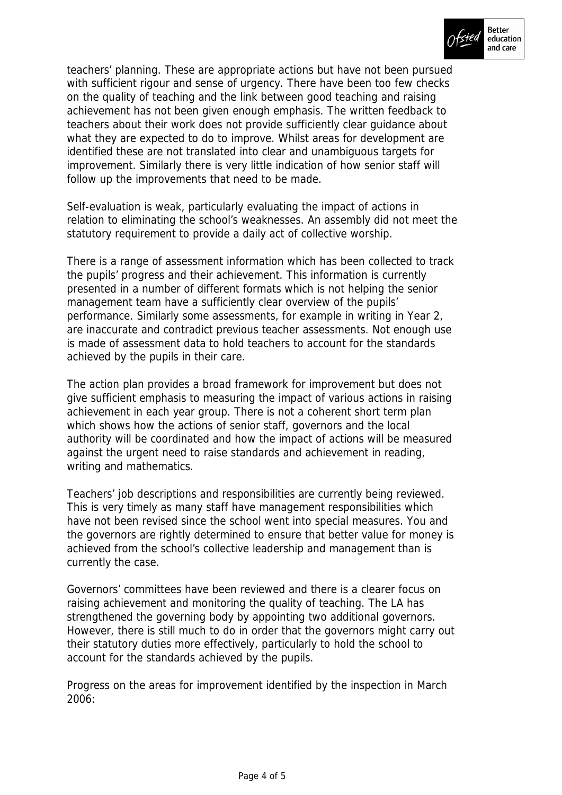

teachers' planning. These are appropriate actions but have not been pursued with sufficient rigour and sense of urgency. There have been too few checks on the quality of teaching and the link between good teaching and raising achievement has not been given enough emphasis. The written feedback to teachers about their work does not provide sufficiently clear guidance about what they are expected to do to improve. Whilst areas for development are identified these are not translated into clear and unambiguous targets for improvement. Similarly there is very little indication of how senior staff will follow up the improvements that need to be made.

Self-evaluation is weak, particularly evaluating the impact of actions in relation to eliminating the school's weaknesses. An assembly did not meet the statutory requirement to provide a daily act of collective worship.

There is a range of assessment information which has been collected to track the pupils' progress and their achievement. This information is currently presented in a number of different formats which is not helping the senior management team have a sufficiently clear overview of the pupils' performance. Similarly some assessments, for example in writing in Year 2, are inaccurate and contradict previous teacher assessments. Not enough use is made of assessment data to hold teachers to account for the standards achieved by the pupils in their care.

The action plan provides a broad framework for improvement but does not give sufficient emphasis to measuring the impact of various actions in raising achievement in each year group. There is not a coherent short term plan which shows how the actions of senior staff, governors and the local authority will be coordinated and how the impact of actions will be measured against the urgent need to raise standards and achievement in reading, writing and mathematics.

Teachers' job descriptions and responsibilities are currently being reviewed. This is very timely as many staff have management responsibilities which have not been revised since the school went into special measures. You and the governors are rightly determined to ensure that better value for money is achieved from the school's collective leadership and management than is currently the case.

Governors' committees have been reviewed and there is a clearer focus on raising achievement and monitoring the quality of teaching. The LA has strengthened the governing body by appointing two additional governors. However, there is still much to do in order that the governors might carry out their statutory duties more effectively, particularly to hold the school to account for the standards achieved by the pupils.

Progress on the areas for improvement identified by the inspection in March 2006: